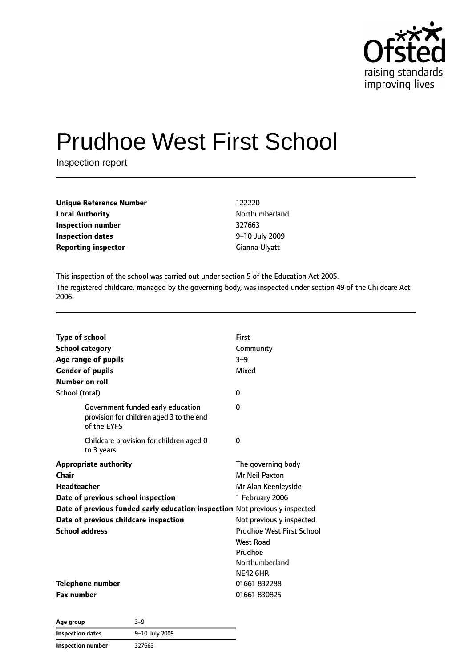

# Prudhoe West First School

Inspection report

| <b>Unique Reference Number</b> | 122220         |
|--------------------------------|----------------|
| <b>Local Authority</b>         | Northumberland |
| Inspection number              | 327663         |
| <b>Inspection dates</b>        | 9-10 July 2009 |
| <b>Reporting inspector</b>     | Gianna Ulyatt  |

This inspection of the school was carried out under section 5 of the Education Act 2005. The registered childcare, managed by the governing body, was inspected under section 49 of the Childcare Act 2006.

| <b>Type of school</b><br><b>School category</b><br>Age range of pupils<br><b>Gender of pupils</b><br>Number on roll<br>School (total) | First<br>Community<br>$3-9$<br>Mixed<br>$\Omega$ |
|---------------------------------------------------------------------------------------------------------------------------------------|--------------------------------------------------|
| Government funded early education<br>provision for children aged 3 to the end<br>of the FYFS                                          | 0                                                |
| Childcare provision for children aged 0<br>to 3 years                                                                                 | 0                                                |
| <b>Appropriate authority</b>                                                                                                          | The governing body                               |
| Chair                                                                                                                                 | Mr Neil Paxton                                   |
| <b>Headteacher</b>                                                                                                                    | Mr Alan Keenleyside                              |
| Date of previous school inspection                                                                                                    | 1 February 2006                                  |
| Date of previous funded early education inspection Not previously inspected                                                           |                                                  |
| Date of previous childcare inspection                                                                                                 | Not previously inspected                         |
| <b>School address</b>                                                                                                                 | <b>Prudhoe West First School</b>                 |
|                                                                                                                                       | West Road                                        |
|                                                                                                                                       | Prudhoe                                          |
|                                                                                                                                       | Northumberland                                   |
|                                                                                                                                       | <b>NE42 6HR</b>                                  |
| Telephone number                                                                                                                      | 01661 832288                                     |
| <b>Fax number</b>                                                                                                                     | 01661 830825                                     |
|                                                                                                                                       |                                                  |

| Age group         | 3-9            |  |
|-------------------|----------------|--|
| Inspection dates  | 9-10 July 2009 |  |
| Inspection number | 327663         |  |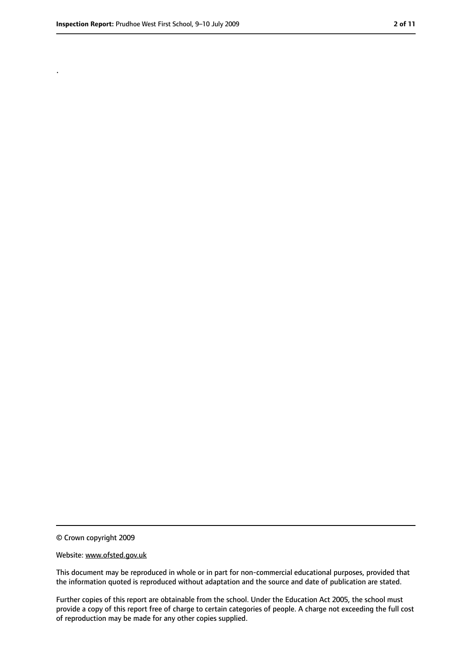.

<sup>©</sup> Crown copyright 2009

Website: www.ofsted.gov.uk

This document may be reproduced in whole or in part for non-commercial educational purposes, provided that the information quoted is reproduced without adaptation and the source and date of publication are stated.

Further copies of this report are obtainable from the school. Under the Education Act 2005, the school must provide a copy of this report free of charge to certain categories of people. A charge not exceeding the full cost of reproduction may be made for any other copies supplied.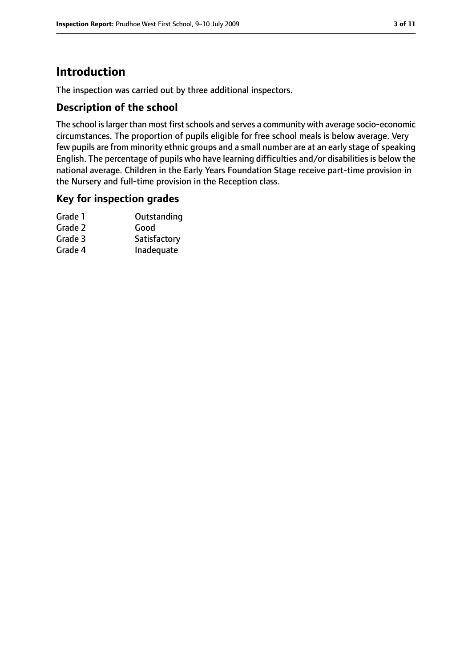# **Introduction**

The inspection was carried out by three additional inspectors.

#### **Description of the school**

The school is larger than most first schools and serves a community with average socio-economic circumstances. The proportion of pupils eligible for free school meals is below average. Very few pupils are from minority ethnic groups and a small number are at an early stage of speaking English. The percentage of pupils who have learning difficulties and/or disabilities is below the national average. Children in the Early Years Foundation Stage receive part-time provision in the Nursery and full-time provision in the Reception class.

#### **Key for inspection grades**

| Grade 1 | Outstanding  |
|---------|--------------|
| Grade 2 | Good         |
| Grade 3 | Satisfactory |
| Grade 4 | Inadequate   |
|         |              |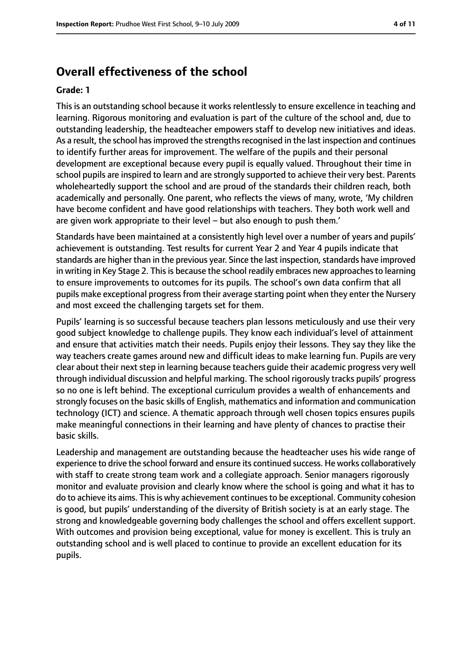# **Overall effectiveness of the school**

#### **Grade: 1**

This is an outstanding school because it works relentlessly to ensure excellence in teaching and learning. Rigorous monitoring and evaluation is part of the culture of the school and, due to outstanding leadership, the headteacher empowers staff to develop new initiatives and ideas. As a result, the school has improved the strengths recognised in the last inspection and continues to identify further areas for improvement. The welfare of the pupils and their personal development are exceptional because every pupil is equally valued. Throughout their time in school pupils are inspired to learn and are strongly supported to achieve their very best. Parents wholeheartedly support the school and are proud of the standards their children reach, both academically and personally. One parent, who reflects the views of many, wrote, 'My children have become confident and have good relationships with teachers. They both work well and are given work appropriate to their level – but also enough to push them.'

Standards have been maintained at a consistently high level over a number of years and pupils' achievement is outstanding. Test results for current Year 2 and Year 4 pupils indicate that standards are higher than in the previous year. Since the last inspection, standards have improved in writing in Key Stage 2. This is because the school readily embraces new approaches to learning to ensure improvements to outcomes for its pupils. The school's own data confirm that all pupils make exceptional progressfrom their average starting point when they enter the Nursery and most exceed the challenging targets set for them.

Pupils' learning is so successful because teachers plan lessons meticulously and use their very good subject knowledge to challenge pupils. They know each individual's level of attainment and ensure that activities match their needs. Pupils enjoy their lessons. They say they like the way teachers create games around new and difficult ideas to make learning fun. Pupils are very clear about their next step in learning because teachers guide their academic progress very well through individual discussion and helpful marking. The school rigorously tracks pupils' progress so no one is left behind. The exceptional curriculum provides a wealth of enhancements and strongly focuses on the basic skills of English, mathematics and information and communication technology (ICT) and science. A thematic approach through well chosen topics ensures pupils make meaningful connections in their learning and have plenty of chances to practise their basic skills.

Leadership and management are outstanding because the headteacher uses his wide range of experience to drive the school forward and ensure its continued success. He works collaboratively with staff to create strong team work and a collegiate approach. Senior managers rigorously monitor and evaluate provision and clearly know where the school is going and what it has to do to achieve its aims. This is why achievement continues to be exceptional. Community cohesion is good, but pupils' understanding of the diversity of British society is at an early stage. The strong and knowledgeable governing body challenges the school and offers excellent support. With outcomes and provision being exceptional, value for money is excellent. This is truly an outstanding school and is well placed to continue to provide an excellent education for its pupils.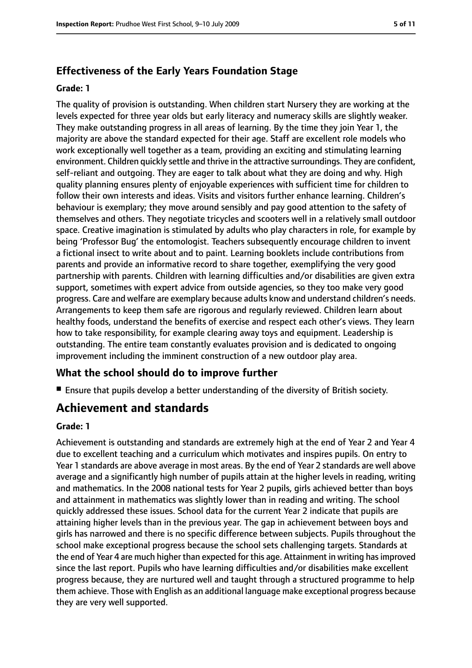## **Effectiveness of the Early Years Foundation Stage**

#### **Grade: 1**

The quality of provision is outstanding. When children start Nursery they are working at the levels expected for three year olds but early literacy and numeracy skills are slightly weaker. They make outstanding progress in all areas of learning. By the time they join Year 1, the majority are above the standard expected for their age. Staff are excellent role models who work exceptionally well together as a team, providing an exciting and stimulating learning environment. Children quickly settle and thrive in the attractive surroundings. They are confident, self-reliant and outgoing. They are eager to talk about what they are doing and why. High quality planning ensures plenty of enjoyable experiences with sufficient time for children to follow their own interests and ideas. Visits and visitors further enhance learning. Children's behaviour is exemplary; they move around sensibly and pay good attention to the safety of themselves and others. They negotiate tricycles and scooters well in a relatively small outdoor space. Creative imagination is stimulated by adults who play characters in role, for example by being 'Professor Bug' the entomologist. Teachers subsequently encourage children to invent a fictional insect to write about and to paint. Learning booklets include contributions from parents and provide an informative record to share together, exemplifying the very good partnership with parents. Children with learning difficulties and/or disabilities are given extra support, sometimes with expert advice from outside agencies, so they too make very good progress. Care and welfare are exemplary because adults know and understand children's needs. Arrangements to keep them safe are rigorous and regularly reviewed. Children learn about healthy foods, understand the benefits of exercise and respect each other's views. They learn how to take responsibility, for example clearing away toys and equipment. Leadership is outstanding. The entire team constantly evaluates provision and is dedicated to ongoing improvement including the imminent construction of a new outdoor play area.

## **What the school should do to improve further**

■ Ensure that pupils develop a better understanding of the diversity of British society.

# **Achievement and standards**

#### **Grade: 1**

Achievement is outstanding and standards are extremely high at the end of Year 2 and Year 4 due to excellent teaching and a curriculum which motivates and inspires pupils. On entry to Year 1 standards are above average in most areas. By the end of Year 2 standards are well above average and a significantly high number of pupils attain at the higher levels in reading, writing and mathematics. In the 2008 national tests for Year 2 pupils, girls achieved better than boys and attainment in mathematics was slightly lower than in reading and writing. The school quickly addressed these issues. School data for the current Year 2 indicate that pupils are attaining higher levels than in the previous year. The gap in achievement between boys and girls has narrowed and there is no specific difference between subjects. Pupils throughout the school make exceptional progress because the school sets challenging targets. Standards at the end of Year 4 are much higher than expected for this age. Attainment in writing hasimproved since the last report. Pupils who have learning difficulties and/or disabilities make excellent progress because, they are nurtured well and taught through a structured programme to help them achieve. Those with English as an additional language make exceptional progress because they are very well supported.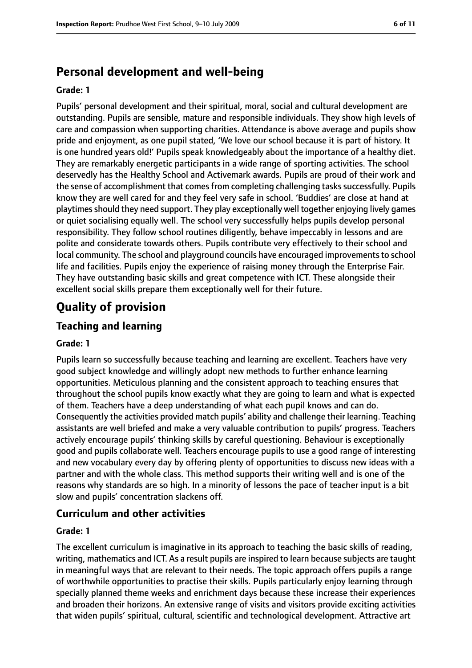# **Personal development and well-being**

#### **Grade: 1**

Pupils' personal development and their spiritual, moral, social and cultural development are outstanding. Pupils are sensible, mature and responsible individuals. They show high levels of care and compassion when supporting charities. Attendance is above average and pupils show pride and enjoyment, as one pupil stated, 'We love our school because it is part of history. It is one hundred years old!' Pupils speak knowledgeably about the importance of a healthy diet. They are remarkably energetic participants in a wide range of sporting activities. The school deservedly has the Healthy School and Activemark awards. Pupils are proud of their work and the sense of accomplishment that comes from completing challenging tasks successfully. Pupils know they are well cared for and they feel very safe in school. 'Buddies' are close at hand at playtimes should they need support. They play exceptionally well together enjoying lively games or quiet socialising equally well. The school very successfully helps pupils develop personal responsibility. They follow school routines diligently, behave impeccably in lessons and are polite and considerate towards others. Pupils contribute very effectively to their school and local community. The school and playground councils have encouraged improvements to school life and facilities. Pupils enjoy the experience of raising money through the Enterprise Fair. They have outstanding basic skills and great competence with ICT. These alongside their excellent social skills prepare them exceptionally well for their future.

# **Quality of provision**

## **Teaching and learning**

#### **Grade: 1**

Pupils learn so successfully because teaching and learning are excellent. Teachers have very good subject knowledge and willingly adopt new methods to further enhance learning opportunities. Meticulous planning and the consistent approach to teaching ensures that throughout the school pupils know exactly what they are going to learn and what is expected of them. Teachers have a deep understanding of what each pupil knows and can do. Consequently the activities provided match pupils' ability and challenge their learning. Teaching assistants are well briefed and make a very valuable contribution to pupils' progress. Teachers actively encourage pupils' thinking skills by careful questioning. Behaviour is exceptionally good and pupils collaborate well. Teachers encourage pupils to use a good range of interesting and new vocabulary every day by offering plenty of opportunities to discuss new ideas with a partner and with the whole class. This method supports their writing well and is one of the reasons why standards are so high. In a minority of lessons the pace of teacher input is a bit slow and pupils' concentration slackens off.

## **Curriculum and other activities**

#### **Grade: 1**

The excellent curriculum is imaginative in its approach to teaching the basic skills of reading, writing, mathematics and ICT. As a result pupils are inspired to learn because subjects are taught in meaningful ways that are relevant to their needs. The topic approach offers pupils a range of worthwhile opportunities to practise their skills. Pupils particularly enjoy learning through specially planned theme weeks and enrichment days because these increase their experiences and broaden their horizons. An extensive range of visits and visitors provide exciting activities that widen pupils' spiritual, cultural, scientific and technological development. Attractive art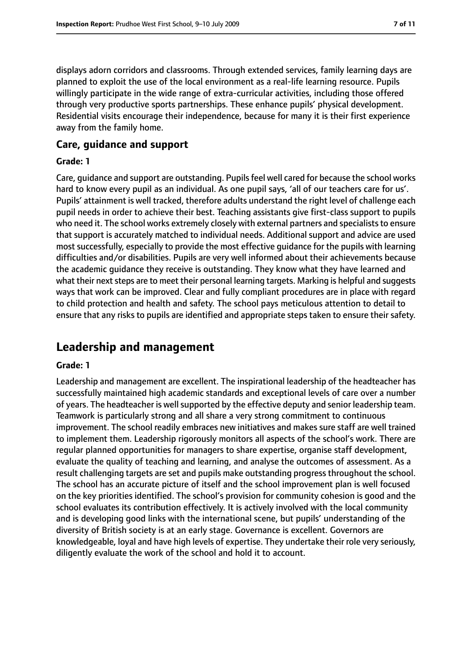displays adorn corridors and classrooms. Through extended services, family learning days are planned to exploit the use of the local environment as a real-life learning resource. Pupils willingly participate in the wide range of extra-curricular activities, including those offered through very productive sports partnerships. These enhance pupils' physical development. Residential visits encourage their independence, because for many it is their first experience away from the family home.

#### **Care, guidance and support**

#### **Grade: 1**

Care, guidance and support are outstanding. Pupilsfeel well cared for because the school works hard to know every pupil as an individual. As one pupil says, 'all of our teachers care for us'. Pupils' attainment is well tracked, therefore adults understand the right level of challenge each pupil needs in order to achieve their best. Teaching assistants give first-class support to pupils who need it. The school works extremely closely with external partners and specialists to ensure that support is accurately matched to individual needs. Additional support and advice are used most successfully, especially to provide the most effective guidance for the pupils with learning difficulties and/or disabilities. Pupils are very well informed about their achievements because the academic guidance they receive is outstanding. They know what they have learned and what their next steps are to meet their personal learning targets. Marking is helpful and suggests ways that work can be improved. Clear and fully compliant procedures are in place with regard to child protection and health and safety. The school pays meticulous attention to detail to ensure that any risks to pupils are identified and appropriate steps taken to ensure their safety.

# **Leadership and management**

#### **Grade: 1**

Leadership and management are excellent. The inspirational leadership of the headteacher has successfully maintained high academic standards and exceptional levels of care over a number of years. The headteacher is wellsupported by the effective deputy and senior leadership team. Teamwork is particularly strong and all share a very strong commitment to continuous improvement. The school readily embraces new initiatives and makes sure staff are well trained to implement them. Leadership rigorously monitors all aspects of the school's work. There are regular planned opportunities for managers to share expertise, organise staff development, evaluate the quality of teaching and learning, and analyse the outcomes of assessment. As a result challenging targets are set and pupils make outstanding progress throughout the school. The school has an accurate picture of itself and the school improvement plan is well focused on the key priorities identified. The school's provision for community cohesion is good and the school evaluates its contribution effectively. It is actively involved with the local community and is developing good links with the international scene, but pupils' understanding of the diversity of British society is at an early stage. Governance is excellent. Governors are knowledgeable, loyal and have high levels of expertise. They undertake their role very seriously, diligently evaluate the work of the school and hold it to account.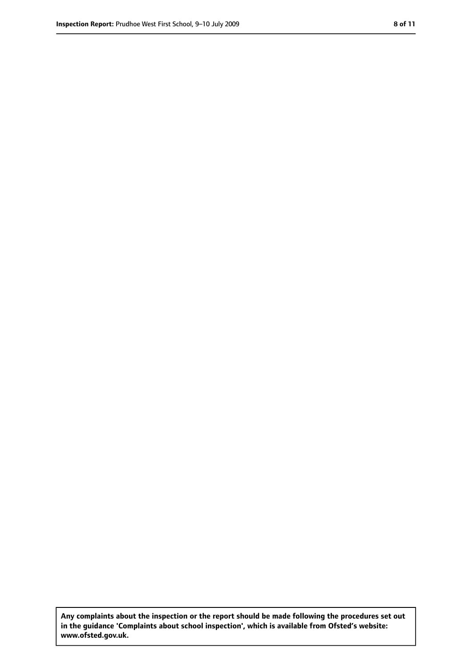**Any complaints about the inspection or the report should be made following the procedures set out in the guidance 'Complaints about school inspection', which is available from Ofsted's website: www.ofsted.gov.uk.**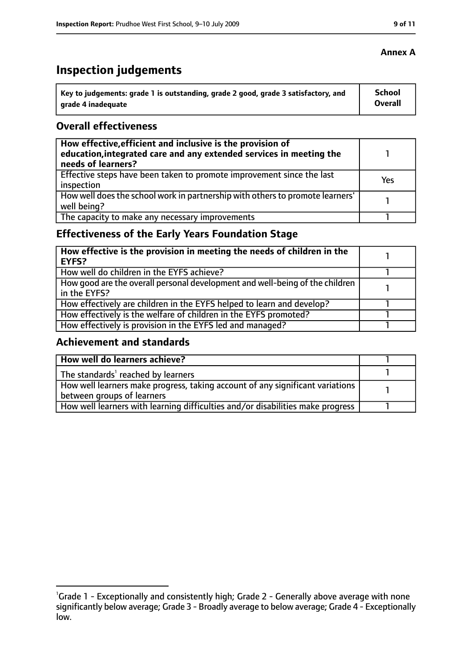# **Inspection judgements**

| \ Key to judgements: grade 1 is outstanding, grade 2 good, grade 3 satisfactory, and | <b>School</b>  |
|--------------------------------------------------------------------------------------|----------------|
| arade 4 inadequate                                                                   | <b>Overall</b> |

## **Overall effectiveness**

| How effective, efficient and inclusive is the provision of<br>education, integrated care and any extended services in meeting the<br>needs of learners? |     |
|---------------------------------------------------------------------------------------------------------------------------------------------------------|-----|
| Effective steps have been taken to promote improvement since the last<br>inspection                                                                     | Yes |
| How well does the school work in partnership with others to promote learners'<br>well being?                                                            |     |
| The capacity to make any necessary improvements                                                                                                         |     |

# **Effectiveness of the Early Years Foundation Stage**

| How effective is the provision in meeting the needs of children in the<br>l EYFS?            |  |
|----------------------------------------------------------------------------------------------|--|
| How well do children in the EYFS achieve?                                                    |  |
| How good are the overall personal development and well-being of the children<br>in the EYFS? |  |
| How effectively are children in the EYFS helped to learn and develop?                        |  |
| How effectively is the welfare of children in the EYFS promoted?                             |  |
| How effectively is provision in the EYFS led and managed?                                    |  |

#### **Achievement and standards**

| How well do learners achieve?                                                  |  |
|--------------------------------------------------------------------------------|--|
| The standards <sup>1</sup> reached by learners                                 |  |
| How well learners make progress, taking account of any significant variations  |  |
| between groups of learners                                                     |  |
| How well learners with learning difficulties and/or disabilities make progress |  |

## **Annex A**

<sup>&</sup>lt;sup>1</sup>Grade 1 - Exceptionally and consistently high; Grade 2 - Generally above average with none significantly below average; Grade 3 - Broadly average to below average; Grade 4 - Exceptionally low.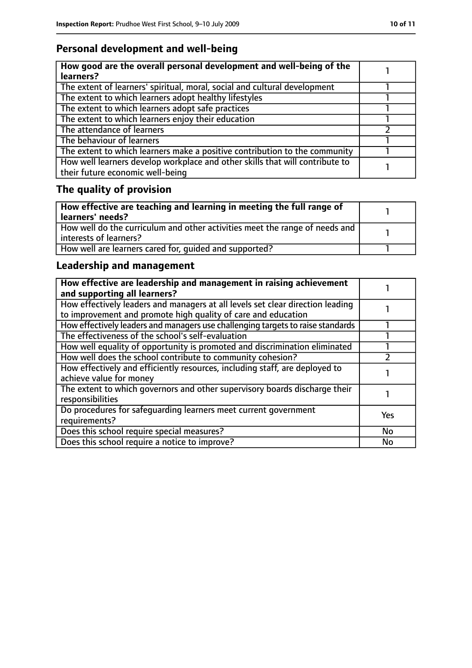# **Personal development and well-being**

| How good are the overall personal development and well-being of the<br>learners?                                 |  |
|------------------------------------------------------------------------------------------------------------------|--|
| The extent of learners' spiritual, moral, social and cultural development                                        |  |
| The extent to which learners adopt healthy lifestyles                                                            |  |
| The extent to which learners adopt safe practices                                                                |  |
| The extent to which learners enjoy their education                                                               |  |
| The attendance of learners                                                                                       |  |
| The behaviour of learners                                                                                        |  |
| The extent to which learners make a positive contribution to the community                                       |  |
| How well learners develop workplace and other skills that will contribute to<br>their future economic well-being |  |

# **The quality of provision**

| How effective are teaching and learning in meeting the full range of<br>learners' needs?              |  |
|-------------------------------------------------------------------------------------------------------|--|
| How well do the curriculum and other activities meet the range of needs and<br>interests of learners? |  |
| How well are learners cared for, quided and supported?                                                |  |

# **Leadership and management**

| How effective are leadership and management in raising achievement<br>and supporting all learners?                                              |           |
|-------------------------------------------------------------------------------------------------------------------------------------------------|-----------|
| How effectively leaders and managers at all levels set clear direction leading<br>to improvement and promote high quality of care and education |           |
| How effectively leaders and managers use challenging targets to raise standards                                                                 |           |
| The effectiveness of the school's self-evaluation                                                                                               |           |
| How well equality of opportunity is promoted and discrimination eliminated                                                                      |           |
| How well does the school contribute to community cohesion?                                                                                      |           |
| How effectively and efficiently resources, including staff, are deployed to<br>achieve value for money                                          |           |
| The extent to which governors and other supervisory boards discharge their<br>responsibilities                                                  |           |
| Do procedures for safeguarding learners meet current government<br>requirements?                                                                | Yes       |
| Does this school require special measures?                                                                                                      | <b>No</b> |
| Does this school require a notice to improve?                                                                                                   | No        |